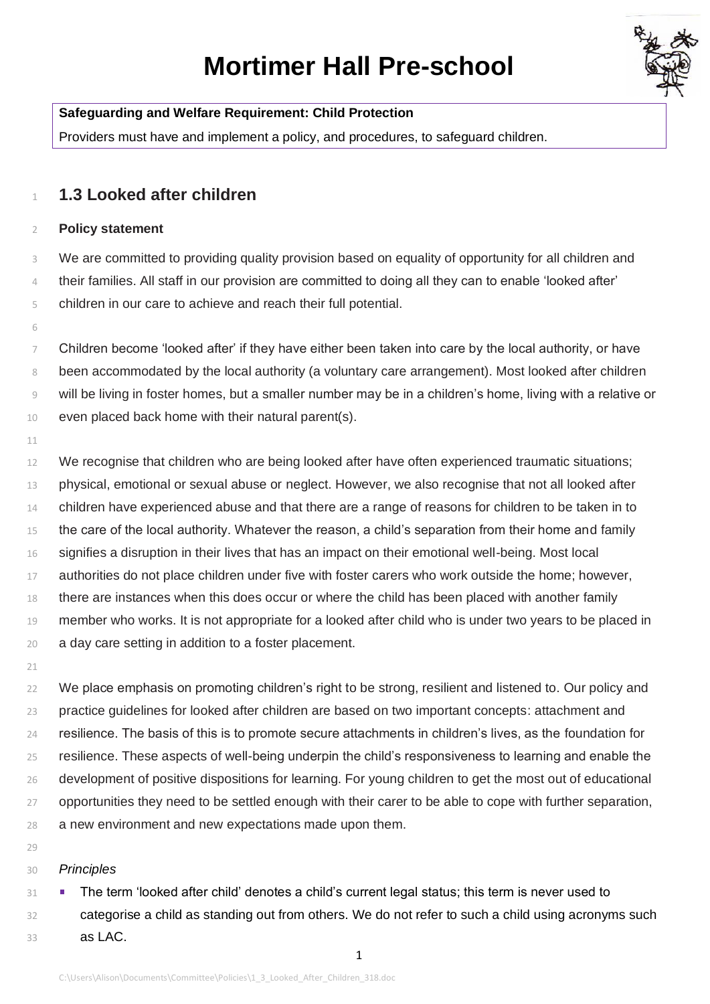# **Mortimer Hall Pre-school**



### **Safeguarding and Welfare Requirement: Child Protection**

Providers must have and implement a policy, and procedures, to safeguard children.

## **1.3 Looked after children**

#### **Policy statement**

 We are committed to providing quality provision based on equality of opportunity for all children and their families. All staff in our provision are committed to doing all they can to enable 'looked after' children in our care to achieve and reach their full potential.

 Children become 'looked after' if they have either been taken into care by the local authority, or have been accommodated by the local authority (a voluntary care arrangement). Most looked after children will be living in foster homes, but a smaller number may be in a children's home, living with a relative or even placed back home with their natural parent(s).

12 We recognise that children who are being looked after have often experienced traumatic situations; physical, emotional or sexual abuse or neglect. However, we also recognise that not all looked after 14 children have experienced abuse and that there are a range of reasons for children to be taken in to 15 the care of the local authority. Whatever the reason, a child's separation from their home and family 16 signifies a disruption in their lives that has an impact on their emotional well-being. Most local authorities do not place children under five with foster carers who work outside the home; however, there are instances when this does occur or where the child has been placed with another family member who works. It is not appropriate for a looked after child who is under two years to be placed in a day care setting in addition to a foster placement.

22 We place emphasis on promoting children's right to be strong, resilient and listened to. Our policy and practice guidelines for looked after children are based on two important concepts: attachment and resilience. The basis of this is to promote secure attachments in children's lives, as the foundation for resilience. These aspects of well-being underpin the child's responsiveness to learning and enable the development of positive dispositions for learning. For young children to get the most out of educational 27 opportunities they need to be settled enough with their carer to be able to cope with further separation, a new environment and new expectations made upon them.

#### *Principles*

**The term 'looked after child' denotes a child's current legal status; this term is never used to** 32 categorise a child as standing out from others. We do not refer to such a child using acronyms such as LAC.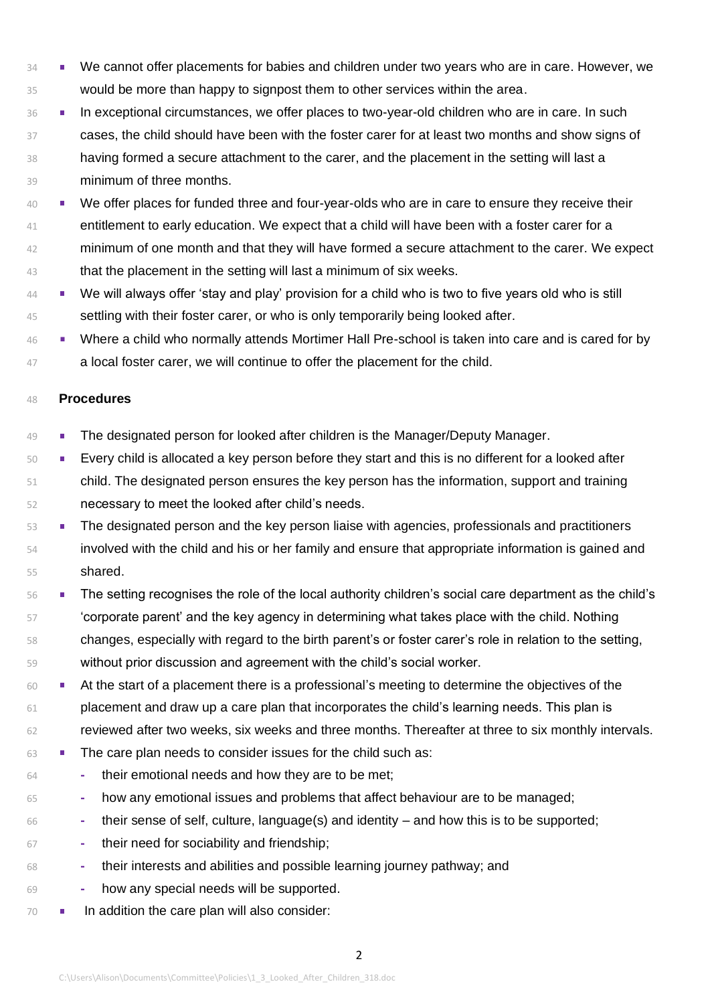- **14 We cannot offer placements for babies and children under two years who are in care. However, we** would be more than happy to signpost them to other services within the area.
- **In exceptional circumstances, we offer places to two-year-old children who are in care. In such** 37 cases, the child should have been with the foster carer for at least two months and show signs of having formed a secure attachment to the carer, and the placement in the setting will last a minimum of three months.
- We offer places for funded three and four-year-olds who are in care to ensure they receive their 41 entitlement to early education. We expect that a child will have been with a foster carer for a 42 minimum of one month and that they will have formed a secure attachment to the carer. We expect 43 that the placement in the setting will last a minimum of six weeks.
- 44 We will always offer 'stay and play' provision for a child who is two to five years old who is still 45 settling with their foster carer, or who is only temporarily being looked after.
- 46 Where a child who normally attends Mortimer Hall Pre-school is taken into care and is cared for by 47 a local foster carer, we will continue to offer the placement for the child.

#### **Procedures**

- 49 The designated person for looked after children is the Manager/Deputy Manager.
- **Every child is allocated a key person before they start and this is no different for a looked after**  child. The designated person ensures the key person has the information, support and training necessary to meet the looked after child's needs.
- The designated person and the key person liaise with agencies, professionals and practitioners involved with the child and his or her family and ensure that appropriate information is gained and shared.
- <sup>56</sup> The setting recognises the role of the local authority children's social care department as the child's 'corporate parent' and the key agency in determining what takes place with the child. Nothing changes, especially with regard to the birth parent's or foster carer's role in relation to the setting, without prior discussion and agreement with the child's social worker.
- **At the start of a placement there is a professional's meeting to determine the objectives of the**  placement and draw up a care plan that incorporates the child's learning needs. This plan is reviewed after two weeks, six weeks and three months. Thereafter at three to six monthly intervals.
- 63 The care plan needs to consider issues for the child such as:
- **-** their emotional needs and how they are to be met;
- **-** how any emotional issues and problems that affect behaviour are to be managed;
- **-** their sense of self, culture, language(s) and identity and how this is to be supported;
- **-** their need for sociability and friendship;
- **-** their interests and abilities and possible learning journey pathway; and
- **-** how any special needs will be supported.
- **II** In addition the care plan will also consider: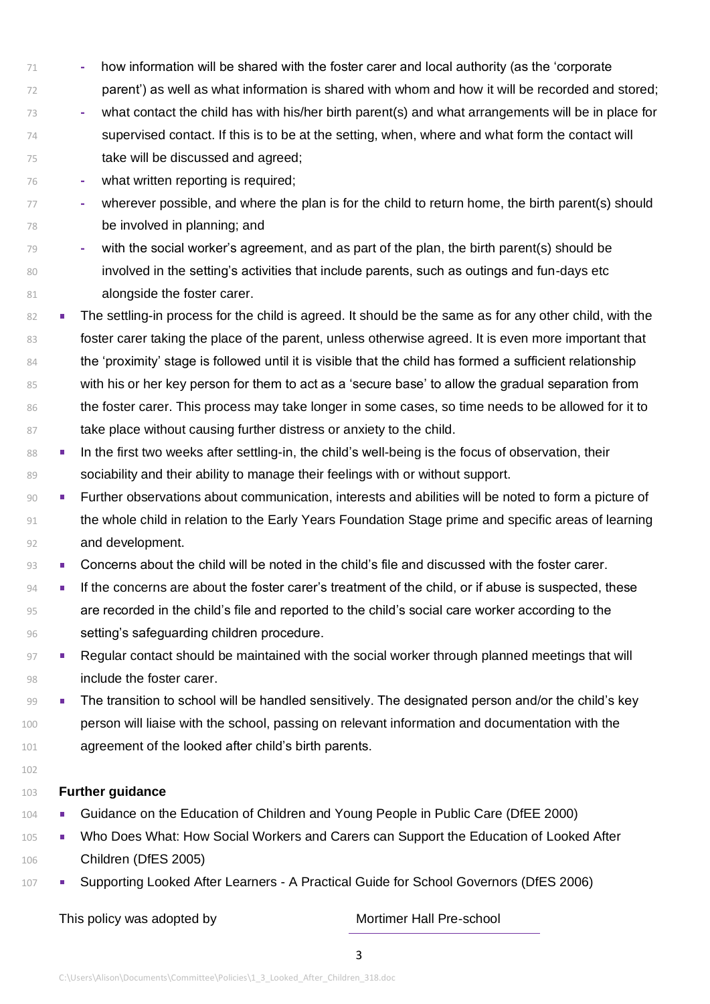- 71 **-** how information will be shared with the foster carer and local authority (as the 'corporate 72 parent') as well as what information is shared with whom and how it will be recorded and stored;
- 73 **-** what contact the child has with his/her birth parent(s) and what arrangements will be in place for 74 supervised contact. If this is to be at the setting, when, where and what form the contact will
- 75 take will be discussed and agreed; 76 **-** what written reporting is required;
- 77 **-** wherever possible, and where the plan is for the child to return home, the birth parent(s) should 78 be involved in planning; and
- 79 **-** with the social worker's agreement, and as part of the plan, the birth parent(s) should be 80 involved in the setting's activities that include parents, such as outings and fun-days etc 81 **alongside the foster carer.**
- 82 The settling-in process for the child is agreed. It should be the same as for any other child, with the 83 foster carer taking the place of the parent, unless otherwise agreed. It is even more important that 84 the 'proximity' stage is followed until it is visible that the child has formed a sufficient relationship 85 with his or her key person for them to act as a 'secure base' to allow the gradual separation from 86 the foster carer. This process may take longer in some cases, so time needs to be allowed for it to 87 take place without causing further distress or anxiety to the child.
- 88 In the first two weeks after settling-in, the child's well-being is the focus of observation, their 89 sociability and their ability to manage their feelings with or without support.
- 90 Further observations about communication, interests and abilities will be noted to form a picture of 91 the whole child in relation to the Early Years Foundation Stage prime and specific areas of learning 92 and development.
- 93 Concerns about the child will be noted in the child's file and discussed with the foster carer.
- 94 **If the concerns are about the foster carer's treatment of the child, or if abuse is suspected, these** 95 are recorded in the child's file and reported to the child's social care worker according to the 96 setting's safeguarding children procedure.
- 97 Regular contact should be maintained with the social worker through planned meetings that will 98 include the foster carer.
- 99 The transition to school will be handled sensitively. The designated person and/or the child's key 100 person will liaise with the school, passing on relevant information and documentation with the 101 agreement of the looked after child's birth parents.
- 102

#### 103 **Further guidance**

- 104 Guidance on the Education of Children and Young People in Public Care (DfEE 2000)
- 105 Who Does What: How Social Workers and Carers can Support the Education of Looked After 106 Children (DfES 2005)
- 107 Supporting Looked After Learners A Practical Guide for School Governors (DfES 2006)

This policy was adopted by Mortimer Hall Pre-school